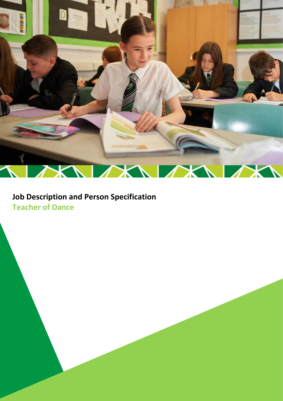

# **Job Description and Person Specification Teacher of Dance**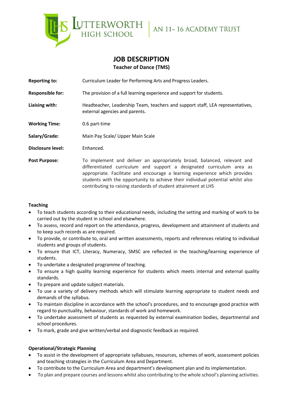

# **JOB DESCRIPTION Teacher of Dance (TMS)**

**Reporting to:** Curriculum Leader for Performing Arts and Progress Leaders.

**Responsible for:** The provision of a full learning experience and support for students.

**Liaising with:** Headteacher, Leadership Team, teachers and support staff, LEA representatives, external agencies and parents.

**Working Time:** 0.6 part-time

**Salary/Grade:** Main Pay Scale/ Upper Main Scale

**Disclosure level:** Enhanced.

**Post Purpose:** To implement and deliver an appropriately broad, balanced, relevant and differentiated curriculum and support a designated curriculum area as appropriate. Facilitate and encourage a learning experience which provides students with the opportunity to achieve their individual potential whilst also contributing to raising standards of student attainment at LHS

# **Teaching**

- To teach students according to their educational needs, including the setting and marking of work to be carried out by the student in school and elsewhere.
- To assess, record and report on the attendance, progress, development and attainment of students and to keep such records as are required.
- To provide, or contribute to, oral and written assessments, reports and references relating to individual students and groups of students.
- To ensure that ICT, Literacy, Numeracy, SMSC are reflected in the teaching/learning experience of students.
- To undertake a designated programme of teaching.
- To ensure a high quality learning experience for students which meets internal and external quality standards.
- To prepare and update subject materials.
- To use a variety of delivery methods which will stimulate learning appropriate to student needs and demands of the syllabus.
- To maintain discipline in accordance with the school's procedures, and to encourage good practice with regard to punctuality, behaviour, standards of work and homework.
- To undertake assessment of students as requested by external examination bodies, departmental and school procedures.
- To mark, grade and give written/verbal and diagnostic feedback as required.

# **Operational/Strategic Planning**

- To assist in the development of appropriate syllabuses, resources, schemes of work, assessment policies and teaching strategies in the Curriculum Area and Department.
- To contribute to the Curriculum Area and department's development plan and its implementation.
- To plan and prepare courses and lessons whilst also contributing to the whole school's planning activities.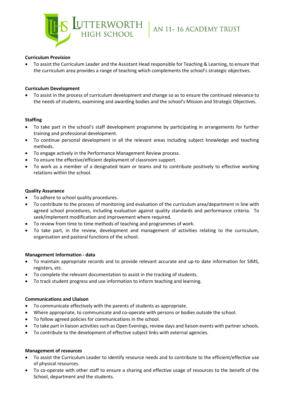

# **Curriculum Provision**

• To assist the Curriculum Leader and the Assistant Head responsible for Teaching & Learning, to ensure that the curriculum area provides a range of teaching which complements the school's strategic objectives.

# **Curriculum Development**

• To assist in the process of curriculum development and change so as to ensure the continued relevance to the needs of students, examining and awarding bodies and the school's Mission and Strategic Objectives.

## **Staffing**

- To take part in the school's staff development programme by participating in arrangements for further training and professional development.
- To continue personal development in all the relevant areas including subject knowledge and teaching methods.
- To engage actively in the Performance Management Review process.
- To ensure the effective/efficient deployment of classroom support.
- To work as a member of a designated team or teams and to contribute positively to effective working relations within the school.

## **Quality Assurance**

- To adhere to school quality procedures.
- To contribute to the process of monitoring and evaluation of the curriculum area/department in line with agreed school procedures, including evaluation against quality standards and performance criteria. To seek/implement modification and improvement where required.
- To review from time to time methods of teaching and programmes of work.
- To take part, in the review, development and management of activities relating to the curriculum, organisation and pastoral functions of the school.

## **Management Information - data**

- To maintain appropriate records and to provide relevant accurate and up-to date information for SIMS, registers, etc.
- To complete the relevant documentation to assist in the tracking of students.
- To track student progress and use information to inform teaching and learning.

## **Communications and Lliaison**

- To communicate effectively with the parents of students as appropriate.
- Where appropriate, to communicate and co-operate with persons or bodies outside the school.
- To follow agreed policies for communications in the school.
- To take part in liaison activities such as Open Evenings, review days and liaison events with partner schools.
- To contribute to the development of effective subject links with external agencies.

## **Management of resources**

- To assist the Curriculum Leader to identify resource needs and to contribute to the efficient/effective use of physical resources.
- To co-operate with other staff to ensure a sharing and effective usage of resources to the benefit of the School, department and the students.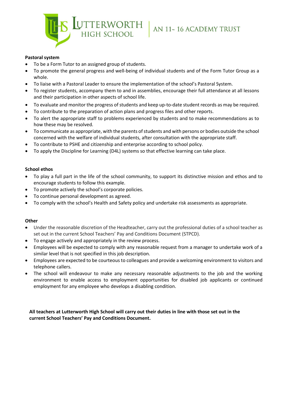

# **Pastoral system**

- To be a Form Tutor to an assigned group of students.
- To promote the general progress and well-being of individual students and of the Form Tutor Group as a whole.
- To liaise with a Pastoral Leader to ensure the implementation of the school's Pastoral System.
- To register students, accompany them to and in assemblies, encourage their full attendance at all lessons and their participation in other aspects of school life.
- To evaluate and monitor the progress of students and keep up-to-date student records as may be required.
- To contribute to the preparation of action plans and progress files and other reports.
- To alert the appropriate staff to problems experienced by students and to make recommendations as to how these may be resolved.
- To communicate as appropriate, with the parents of students and with persons or bodies outside the school concerned with the welfare of individual students, after consultation with the appropriate staff.
- To contribute to PSHE and citizenship and enterprise according to school policy.
- To apply the Discipline for Learning (D4L) systems so that effective learning can take place.

# **School ethos**

- To play a full part in the life of the school community, to support its distinctive mission and ethos and to encourage students to follow this example.
- To promote actively the school's corporate policies.
- To continue personal development as agreed.
- To comply with the school's Health and Safety policy and undertake risk assessments as appropriate.

# **Other**

- Under the reasonable discretion of the Headteacher, carry out the professional duties of a school teacher as set out in the current School Teachers' Pay and Conditions Document (STPCD).
- To engage actively and appropriately in the review process.
- Employees will be expected to comply with any reasonable request from a manager to undertake work of a similar level that is not specified in this job description.
- Employees are expected to be courteous to colleagues and provide a welcoming environment to visitors and telephone callers.
- The school will endeavour to make any necessary reasonable adjustments to the job and the working environment to enable access to employment opportunities for disabled job applicants or continued employment for any employee who develops a disabling condition.

**All teachers at Lutterworth High School will carry out their duties in line with those set out in the current School Teachers' Pay and Conditions Document.**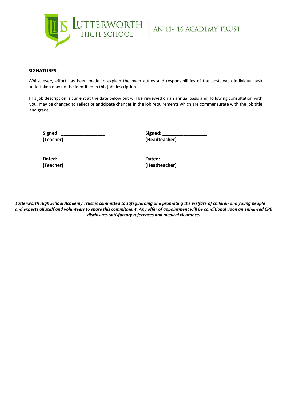

#### **SIGNATURES:**

Whilst every effort has been made to explain the main duties and responsibilities of the post, each individual task undertaken may not be identified in this job description.

This job description is current at the date below but will be reviewed on an annual basis and, following consultation with you, may be changed to reflect or anticipate changes in the job requirements which are commensurate with the job title and grade.

**Signed: \_\_\_\_\_\_\_\_\_\_\_\_\_\_\_\_\_ Signed: \_\_\_\_\_\_\_\_\_\_\_\_\_\_\_\_\_**

**(Teacher) (Headteacher)**

**Dated: \_\_\_\_\_\_\_\_\_\_\_\_\_\_\_\_\_ Dated: \_\_\_\_\_\_\_\_\_\_\_\_\_\_\_\_\_ (Teacher) (Headteacher)**

*Lutterworth High School Academy Trust is committed to safeguarding and promoting the welfare of children and young people and expects all staff and volunteers to share this commitment. Any offer of appointment will be conditional upon an enhanced CRB disclosure, satisfactory references and medical clearance.*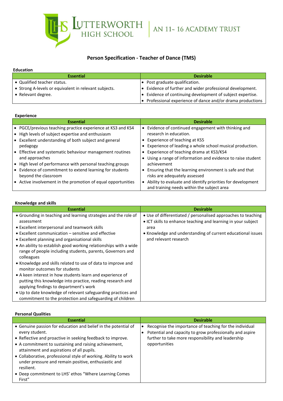$\begin{array}{|c|c|c|c|c|}\hline \textbf{UTTERWORTH} & \textbf{AN 11~16 ACADEMY TRUST} \hline \end{array}$ 

# **Person Specification - Teacher of Dance (TMS)**

#### **Education**

| Luuluuv                                               |                                                                     |
|-------------------------------------------------------|---------------------------------------------------------------------|
| <b>Essential</b>                                      | <b>Desirable</b>                                                    |
| • Qualified teacher status.                           | • Post graduate qualification.                                      |
| • Strong A-levels or equivalent in relevant subjects. | $\bullet$ Evidence of further and wider professional development.   |
| • Relevant degree.                                    | $\bullet$ Evidence of continuing development of subject expertise.  |
|                                                       | $\bullet$ Professional experience of dance and/or drama productions |

## **Experience**

| <b>Essential</b>                                             | <b>Desirable</b>                                            |
|--------------------------------------------------------------|-------------------------------------------------------------|
| • PGCE/previous teaching practice experience at KS3 and KS4  | Evidence of continued engagement with thinking and          |
| • High levels of subject expertise and enthusiasm            | research in education.                                      |
| • Excellent understanding of both subject and general        | Experience of teaching at KS5                               |
| pedagogy                                                     | Experience of leading a whole school musical production.    |
| Effective and systematic behaviour management routines       | Experience of teaching drama at KS3/KS4                     |
| and approaches                                               | Using a range of information and evidence to raise student  |
| High level of performance with personal teaching groups      | achievement                                                 |
| • Evidence of commitment to extend learning for students     | Ensuring that the learning environment is safe and that     |
| beyond the classroom                                         | risks are adequately assessed                               |
| • Active involvement in the promotion of equal opportunities | Ability to evaluate and identify priorities for development |
|                                                              | and training needs within the subject area                  |

#### **Knowledge and skills**

| <b>Essential</b>                                                 | <b>Desirable</b>                                              |
|------------------------------------------------------------------|---------------------------------------------------------------|
| • Grounding in teaching and learning strategies and the role of  | • Use of differentiated / personalised approaches to teaching |
| assessment                                                       | • ICT skills to enhance teaching and learning in your subject |
| • Excellent interpersonal and teamwork skills                    | area                                                          |
| • Excellent communication – sensitive and effective              | • Knowledge and understanding of current educational issues   |
| • Excellent planning and organisational skills                   | and relevant research                                         |
| • An ability to establish good working relationships with a wide |                                                               |
| range of people including students, parents, Governors and       |                                                               |
| colleagues                                                       |                                                               |
| • Knowledge and skills related to use of data to improve and     |                                                               |
| monitor outcomes for students                                    |                                                               |
| • A keen interest in how students learn and experience of        |                                                               |
| putting this knowledge into practice, reading research and       |                                                               |
| applying findings to department's work                           |                                                               |
| • Up to date knowledge of relevant safeguarding practices and    |                                                               |
| commitment to the protection and safeguarding of children        |                                                               |

#### **Personal Qualities**

| <b>Essential</b>                                                                                                                                                                                                                                                                                                                                                                                                                                        | <b>Desirable</b>                                                                                                                                                                           |
|---------------------------------------------------------------------------------------------------------------------------------------------------------------------------------------------------------------------------------------------------------------------------------------------------------------------------------------------------------------------------------------------------------------------------------------------------------|--------------------------------------------------------------------------------------------------------------------------------------------------------------------------------------------|
| • Genuine passion for education and belief in the potential of<br>every student.<br>• Reflective and proactive in seeking feedback to improve.<br>• A commitment to sustaining and raising achievement,<br>attainment and aspirations of all pupils.<br>• Collaborative, professional style of working. Ability to work<br>under pressure and remain positive, enthusiastic and<br>resilient.<br>• Deep commitment to LHS' ethos "Where Learning Comes" | Recognise the importance of teaching for the individual<br>Potential and capacity to grow professionally and aspire<br>further to take more responsibility and leadership<br>opportunities |
| First"                                                                                                                                                                                                                                                                                                                                                                                                                                                  |                                                                                                                                                                                            |